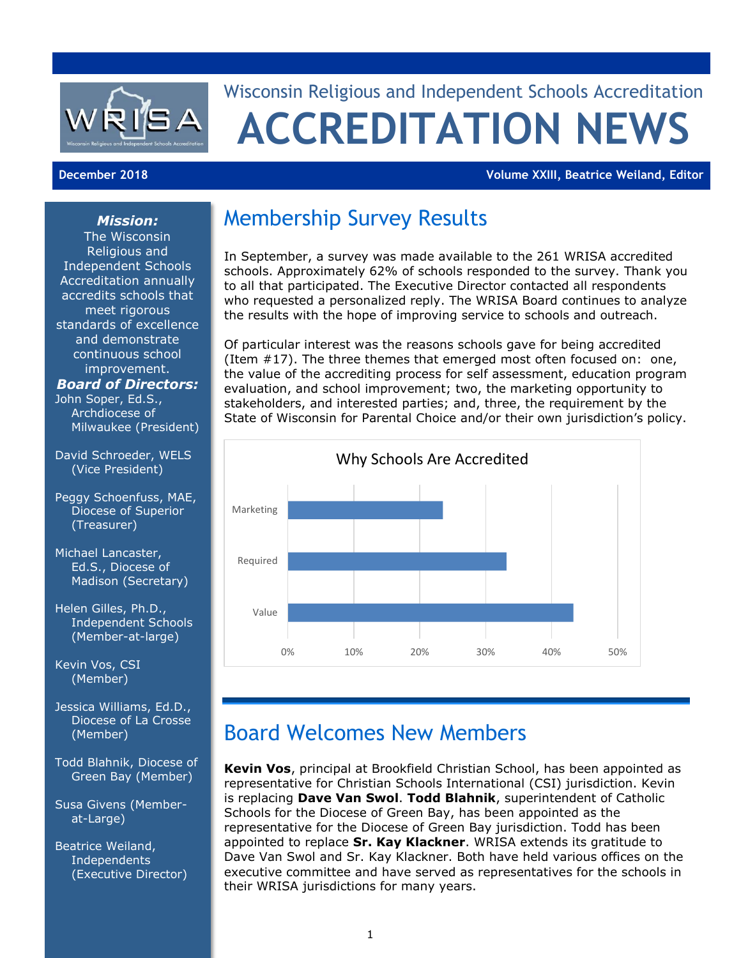

# Wisconsin Religious and Independent Schools Accreditation **ACCREDITATION NEWS**

#### **December 2018 Volume XXIII, Beatrice Weiland, Editor**

#### *Mission:*

The Wisconsin Religious and Independent Schools Accreditation annually accredits schools that meet rigorous standards of excellence and demonstrate continuous school improvement.

#### *Board of Directors:*

John Soper, Ed.S., Archdiocese of Milwaukee (President)

- David Schroeder, WELS (Vice President)
- Peggy Schoenfuss, MAE, Diocese of Superior (Treasurer)
- Michael Lancaster, Ed.S., Diocese of Madison (Secretary)
- Helen Gilles, Ph.D., Independent Schools (Member-at-large)

Kevin Vos, CSI (Member)

- Jessica Williams, Ed.D., Diocese of La Crosse (Member)
- Todd Blahnik, Diocese of Green Bay (Member)
- Susa Givens (Memberat-Large)

Beatrice Weiland, **Independents** (Executive Director)

## Membership Survey Results

In September, a survey was made available to the 261 WRISA accredited schools. Approximately 62% of schools responded to the survey. Thank you to all that participated. The Executive Director contacted all respondents who requested a personalized reply. The WRISA Board continues to analyze the results with the hope of improving service to schools and outreach.

Of particular interest was the reasons schools gave for being accredited (Item #17). The three themes that emerged most often focused on: one, the value of the accrediting process for self assessment, education program evaluation, and school improvement; two, the marketing opportunity to stakeholders, and interested parties; and, three, the requirement by the State of Wisconsin for Parental Choice and/or their own jurisdiction's policy.



#### Board Welcomes New Members

**Kevin Vos**, principal at Brookfield Christian School, has been appointed as representative for Christian Schools International (CSI) jurisdiction. Kevin is replacing **Dave Van Swol**. **Todd Blahnik**, superintendent of Catholic Schools for the Diocese of Green Bay, has been appointed as the representative for the Diocese of Green Bay jurisdiction. Todd has been appointed to replace **Sr. Kay Klackner**. WRISA extends its gratitude to Dave Van Swol and Sr. Kay Klackner. Both have held various offices on the executive committee and have served as representatives for the schools in their WRISA jurisdictions for many years.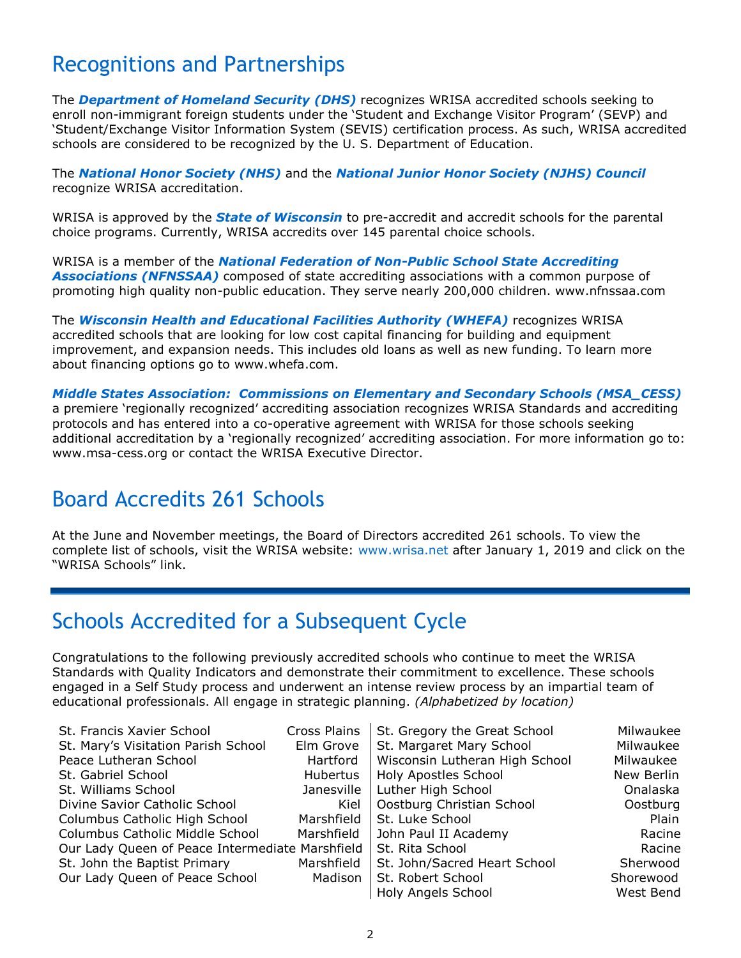### Recognitions and Partnerships

The *Department of Homeland Security (DHS)* recognizes WRISA accredited schools seeking to enroll non-immigrant foreign students under the 'Student and Exchange Visitor Program' (SEVP) and 'Student/Exchange Visitor Information System (SEVIS) certification process. As such, WRISA accredited schools are considered to be recognized by the U. S. Department of Education.

The *National Honor Society (NHS)* and the *National Junior Honor Society (NJHS) Council* recognize WRISA accreditation.

WRISA is approved by the *State of Wisconsin* to pre-accredit and accredit schools for the parental choice programs. Currently, WRISA accredits over 145 parental choice schools.

WRISA is a member of the *National Federation of Non-Public School State Accrediting Associations (NFNSSAA)* composed of state accrediting associations with a common purpose of promoting high quality non-public education. They serve nearly 200,000 children. [www.nfnssaa.com](http://www.nfnssaa.com/)

The *Wisconsin Health and Educational Facilities Authority (WHEFA)* recognizes WRISA accredited schools that are looking for low cost capital financing for building and equipment improvement, and expansion needs. This includes old loans as well as new funding. To learn more about financing options go to [www.whefa.com.](http://www.whefa.com/)

*Middle States Association: Commissions on Elementary and Secondary Schools (MSA\_CESS)* a premiere 'regionally recognized' accrediting association recognizes WRISA Standards and accrediting protocols and has entered into a co-operative agreement with WRISA for those schools seeking additional accreditation by a 'regionally recognized' accrediting association. For more information go to: [www.msa-cess.org](http://www.msa-cess.org/) or contact the WRISA Executive Director.

#### Board Accredits 261 Schools

At the June and November meetings, the Board of Directors accredited 261 schools. To view the complete list of schools, visit the WRISA website: [www.wrisa.net](http://www.wrisa.net/) after January 1, 2019 and click on the "WRISA Schools" link.

#### Schools Accredited for a Subsequent Cycle

Congratulations to the following previously accredited schools who continue to meet the WRISA Standards with Quality Indicators and demonstrate their commitment to excellence. These schools engaged in a Self Study process and underwent an intense review process by an impartial team of educational professionals. All engage in strategic planning. *(Alphabetized by location)*

| St. Francis Xavier School                       | Cross Plains | St. Gregory the Great School   | Milwaukee  |
|-------------------------------------------------|--------------|--------------------------------|------------|
| St. Mary's Visitation Parish School             | Elm Grove    | St. Margaret Mary School       | Milwaukee  |
| Peace Lutheran School                           | Hartford     | Wisconsin Lutheran High School | Milwaukee  |
| St. Gabriel School                              | Hubertus     | Holy Apostles School           | New Berlin |
| St. Williams School                             | Janesville   | Luther High School             | Onalaska   |
| Divine Savior Catholic School                   | Kiel         | Oostburg Christian School      | Oostburg   |
| Columbus Catholic High School                   | Marshfield   | St. Luke School                | Plain      |
| Columbus Catholic Middle School                 | Marshfield   | John Paul II Academy           | Racine     |
| Our Lady Queen of Peace Intermediate Marshfield |              | St. Rita School                | Racine     |
| St. John the Baptist Primary                    | Marshfield   | St. John/Sacred Heart School   | Sherwood   |
| Our Lady Queen of Peace School                  | Madison      | St. Robert School              | Shorewood  |
|                                                 |              | <b>Holy Angels School</b>      | West Bend  |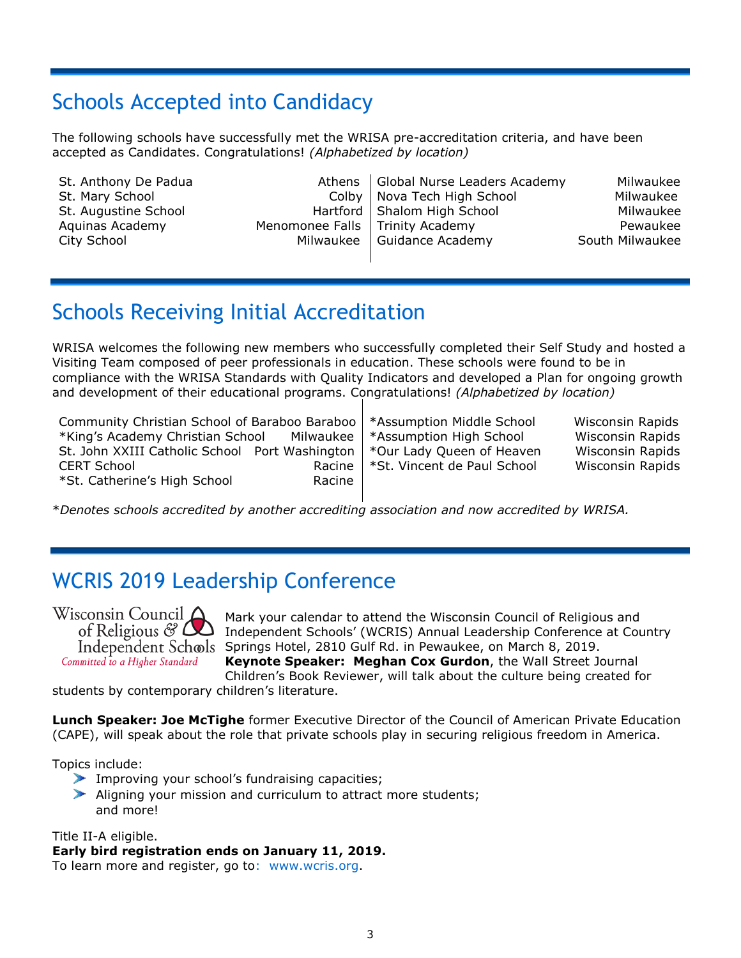### Schools Accepted into Candidacy

The following schools have successfully met the WRISA pre-accreditation criteria, and have been accepted as Candidates. Congratulations! *(Alphabetized by location)*

| St. Anthony De Padua |                                   | Athens   Global Nurse Leaders Academy | Milwaukee       |
|----------------------|-----------------------------------|---------------------------------------|-----------------|
| St. Mary School      |                                   | Colby   Nova Tech High School         | Milwaukee       |
| St. Augustine School |                                   | Hartford   Shalom High School         | Milwaukee       |
| Aquinas Academy      | Menomonee Falls   Trinity Academy |                                       | Pewaukee        |
| City School          |                                   | Milwaukee   Guidance Academy          | South Milwaukee |
|                      |                                   |                                       |                 |

### Schools Receiving Initial Accreditation

WRISA welcomes the following new members who successfully completed their Self Study and hosted a Visiting Team composed of peer professionals in education. These schools were found to be in compliance with the WRISA Standards with Quality Indicators and developed a Plan for ongoing growth and development of their educational programs. Congratulations! *(Alphabetized by location)*

| Community Christian School of Baraboo Baraboo   *Assumption Middle School<br>*King's Academy Christian School Milwaukee   *Assumption High School |                                      | Wisconsin Rapids<br>Wisconsin Rapids |
|---------------------------------------------------------------------------------------------------------------------------------------------------|--------------------------------------|--------------------------------------|
| St. John XXIII Catholic School Port Washington   *Our Lady Queen of Heaven<br><b>CERT School</b>                                                  | Racine   *St. Vincent de Paul School | Wisconsin Rapids<br>Wisconsin Rapids |
| *St. Catherine's High School<br>Racine                                                                                                            |                                      |                                      |

\**Denotes schools accredited by another accrediting association and now accredited by WRISA.*

#### WCRIS 2019 Leadership Conference

Wisconsin Council  $\Delta$ of Religious  $\mathscr{C}$   $\mathsf{\Delta}$ Independent Schools Committed to a Higher Standard

Mark your calendar to attend the Wisconsin Council of Religious and Independent Schools' (WCRIS) Annual Leadership Conference at Country Springs Hotel, 2810 Gulf Rd. in Pewaukee, on March 8, 2019. **Keynote Speaker: Meghan Cox Gurdon**, the Wall Street Journal Children's Book Reviewer, will talk about the culture being created for

students by contemporary children's literature.

**Lunch Speaker: Joe McTighe** former Executive Director of the Council of American Private Education (CAPE), will speak about the role that private schools play in securing religious freedom in America.

Topics include:

- Improving your school's fundraising capacities;
- Aligning your mission and curriculum to attract more students; and more!

Title II-A eligible.

#### **Early bird registration ends on January 11, 2019.**

To learn more and register, go to: [www.wcris.org.](http://www.wcris.org/)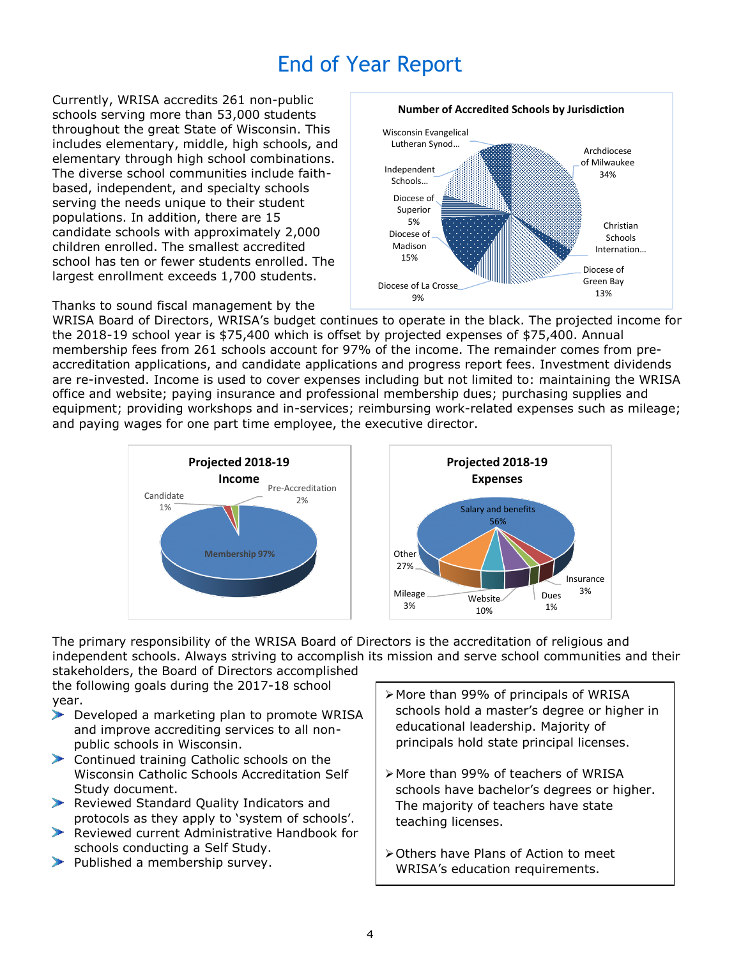## End of Year Report

Currently, WRISA accredits 261 non-public schools serving more than 53,000 students throughout the great State of Wisconsin. This includes elementary, middle, high schools, and elementary through high school combinations. The diverse school communities include faithbased, independent, and specialty schools serving the needs unique to their student populations. In addition, there are 15 candidate schools with approximately 2,000 children enrolled. The smallest accredited school has ten or fewer students enrolled. The largest enrollment exceeds 1,700 students.



Thanks to sound fiscal management by the

WRISA Board of Directors, WRISA's budget continues to operate in the black. The projected income for the 2018-19 school year is \$75,400 which is offset by projected expenses of \$75,400. Annual membership fees from 261 schools account for 97% of the income. The remainder comes from preaccreditation applications, and candidate applications and progress report fees. Investment dividends are re-invested. Income is used to cover expenses including but not limited to: maintaining the WRISA office and website; paying insurance and professional membership dues; purchasing supplies and equipment; providing workshops and in-services; reimbursing work-related expenses such as mileage; and paying wages for one part time employee, the executive director.



The primary responsibility of the WRISA Board of Directors is the accreditation of religious and independent schools. Always striving to accomplish its mission and serve school communities and their

stakeholders, the Board of Directors accomplished the following goals during the 2017-18 school year.

- Developed a marketing plan to promote WRISA and improve accrediting services to all nonpublic schools in Wisconsin.
- Continued training Catholic schools on the Wisconsin Catholic Schools Accreditation Self Study document.
- Reviewed Standard Quality Indicators and protocols as they apply to 'system of schools'.
- Reviewed current Administrative Handbook for schools conducting a Self Study.
- $\blacktriangleright$  Published a membership survey.
- More than 99% of principals of WRISA schools hold a master's degree or higher in educational leadership. Majority of principals hold state principal licenses.
- More than 99% of teachers of WRISA schools have bachelor's degrees or higher. The majority of teachers have state teaching licenses.
- Others have Plans of Action to meet WRISA's education requirements.